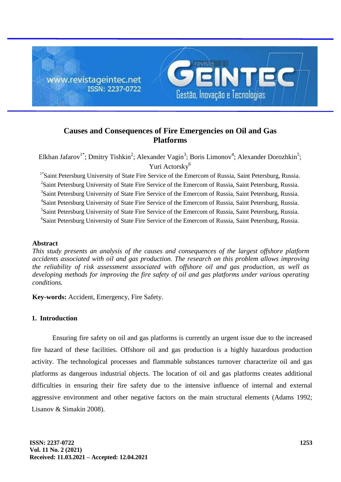

# **Causes and Consequences of Fire Emergencies on Oil and Gas Platforms**

Elkhan Jafarov<sup>1\*</sup>; Dmitry Tishkin<sup>2</sup>; Alexander Vagin<sup>3</sup>; Boris Limonov<sup>4</sup>; Alexander Dorozhkin<sup>5</sup>; Yuri Actorsky<sup>6</sup>

<sup>1\*</sup>Saint Petersburg University of State Fire Service of the Emercom of Russia, Saint Petersburg, Russia. <sup>2</sup>Saint Petersburg University of State Fire Service of the Emercom of Russia, Saint Petersburg, Russia. <sup>3</sup>Saint Petersburg University of State Fire Service of the Emercom of Russia, Saint Petersburg, Russia. 4 Saint Petersburg University of State Fire Service of the Emercom of Russia, Saint Petersburg, Russia. 5 Saint Petersburg University of State Fire Service of the Emercom of Russia, Saint Petersburg, Russia. 6 Saint Petersburg University of State Fire Service of the Emercom of Russia, Saint Petersburg, Russia.

#### **Abstract**

*This study presents an analysis of the causes and consequences of the largest offshore platform accidents associated with oil and gas production. The research on this problem allows improving the reliability of risk assessment associated with offshore oil and gas production, as well as developing methods for improving the fire safety of oil and gas platforms under various operating conditions.*

**Key-words:** Accident, Emergency, Fire Safety.

# **1. Introduction**

Ensuring fire safety on oil and gas platforms is currently an urgent issue due to the increased fire hazard of these facilities. Offshore oil and gas production is a highly hazardous production activity. The technological processes and flammable substances turnover characterize oil and gas platforms as dangerous industrial objects. The location of oil and gas platforms creates additional difficulties in ensuring their fire safety due to the intensive influence of internal and external aggressive environment and other negative factors on the main structural elements (Adams 1992; Lisanov & Simakin 2008).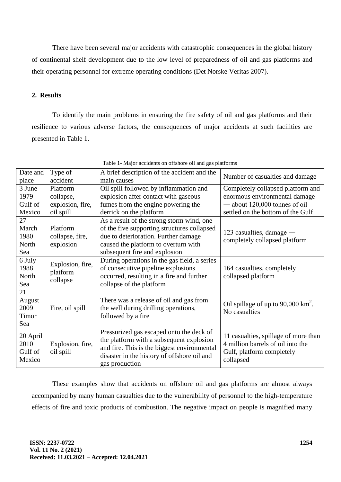There have been several major accidents with catastrophic consequences in the global history of continental shelf development due to the low level of preparedness of oil and gas platforms and their operating personnel for extreme operating conditions (Det Norske Veritas 2007).

# **2. Results**

To identify the main problems in ensuring the fire safety of oil and gas platforms and their resilience to various adverse factors, the consequences of major accidents at such facilities are presented in Table 1.

| Date and                              | Type of                                  | A brief description of the accident and the                                                                                                                                                          | Number of casualties and damage                                                                                     |
|---------------------------------------|------------------------------------------|------------------------------------------------------------------------------------------------------------------------------------------------------------------------------------------------------|---------------------------------------------------------------------------------------------------------------------|
| place                                 | accident                                 | main causes                                                                                                                                                                                          |                                                                                                                     |
| 3 June                                | Platform                                 | Oil spill followed by inflammation and                                                                                                                                                               | Completely collapsed platform and                                                                                   |
| 1979                                  | collapse,                                | explosion after contact with gaseous                                                                                                                                                                 | enormous environmental damage                                                                                       |
| Gulf of                               | explosion, fire,                         | fumes from the engine powering the                                                                                                                                                                   | - about 120,000 tonnes of oil                                                                                       |
| Mexico                                | oil spill                                | derrick on the platform                                                                                                                                                                              | settled on the bottom of the Gulf                                                                                   |
| 27<br>March<br>1980                   | Platform<br>collapse, fire,              | As a result of the strong storm wind, one<br>of the five supporting structures collapsed<br>due to deterioration. Further damage                                                                     | 123 casualties, damage —<br>completely collapsed platform                                                           |
| North<br>Sea                          | explosion                                | caused the platform to overturn with<br>subsequent fire and explosion                                                                                                                                |                                                                                                                     |
| 6 July<br>1988<br>North<br>Sea        | Explosion, fire,<br>platform<br>collapse | During operations in the gas field, a series<br>of consecutive pipeline explosions<br>occurred, resulting in a fire and further<br>collapse of the platform                                          | 164 casualties, completely<br>collapsed platform                                                                    |
| 21<br>August<br>2009<br>Timor<br>Sea  | Fire, oil spill                          | There was a release of oil and gas from<br>the well during drilling operations,<br>followed by a fire                                                                                                | Oil spillage of up to $90,000 \text{ km}^2$ .<br>No casualties                                                      |
| 20 April<br>2010<br>Gulf of<br>Mexico | Explosion, fire,<br>oil spill            | Pressurized gas escaped onto the deck of<br>the platform with a subsequent explosion<br>and fire. This is the biggest environmental<br>disaster in the history of offshore oil and<br>gas production | 11 casualties, spillage of more than<br>4 million barrels of oil into the<br>Gulf, platform completely<br>collapsed |

Table 1- Major accidents on offshore oil and gas platforms

These examples show that accidents on offshore oil and gas platforms are almost always accompanied by many human casualties due to the vulnerability of personnel to the high-temperature effects of fire and toxic products of combustion. The negative impact on people is magnified many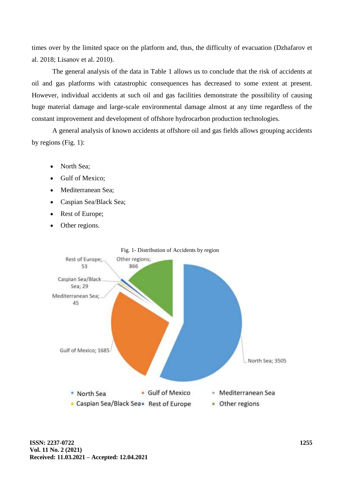times over by the limited space on the platform and, thus, the difficulty of evacuation (Dzhafarov et al. 2018; Lisanov et al. 2010).

The general analysis of the data in Table 1 allows us to conclude that the risk of accidents at oil and gas platforms with catastrophic consequences has decreased to some extent at present. However, individual accidents at such oil and gas facilities demonstrate the possibility of causing huge material damage and large-scale environmental damage almost at any time regardless of the constant improvement and development of offshore hydrocarbon production technologies.

A general analysis of known accidents at offshore oil and gas fields allows grouping accidents by regions (Fig. 1):

- North Sea:
- Gulf of Mexico;
- Mediterranean Sea;
- Caspian Sea/Black Sea;
- Rest of Europe;
- Other regions.

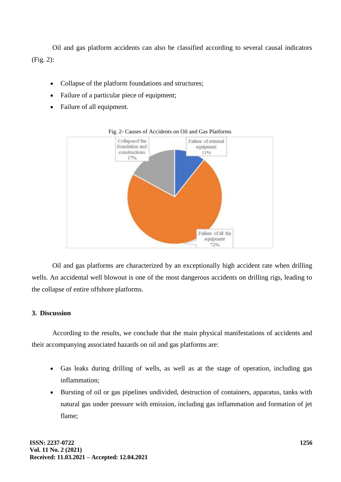Oil and gas platform accidents can also be classified according to several causal indicators (Fig. 2):

- Collapse of the platform foundations and structures;
- Failure of a particular piece of equipment;
- Failure of all equipment.



Fig. 2- Causes of Accidents on Oil and Gas Platforms

Oil and gas platforms are characterized by an exceptionally high accident rate when drilling wells. An accidental well blowout is one of the most dangerous accidents on drilling rigs, leading to the collapse of entire offshore platforms.

## **3. Discussion**

According to the results, we conclude that the main physical manifestations of accidents and their accompanying associated hazards on oil and gas platforms are:

- Gas leaks during drilling of wells, as well as at the stage of operation, including gas inflammation;
- Bursting of oil or gas pipelines undivided, destruction of containers, apparatus, tanks with natural gas under pressure with emission, including gas inflammation and formation of jet flame;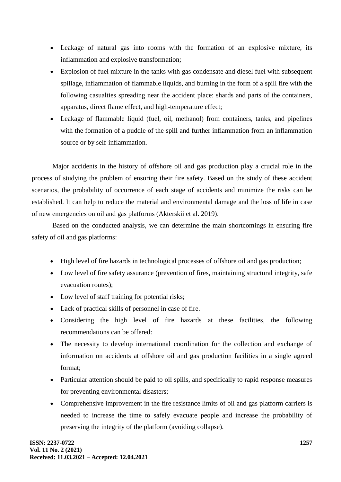- Leakage of natural gas into rooms with the formation of an explosive mixture, its inflammation and explosive transformation;
- Explosion of fuel mixture in the tanks with gas condensate and diesel fuel with subsequent spillage, inflammation of flammable liquids, and burning in the form of a spill fire with the following casualties spreading near the accident place: shards and parts of the containers, apparatus, direct flame effect, and high-temperature effect;
- Leakage of flammable liquid (fuel, oil, methanol) from containers, tanks, and pipelines with the formation of a puddle of the spill and further inflammation from an inflammation source or by self-inflammation.

Major accidents in the history of offshore oil and gas production play a crucial role in the process of studying the problem of ensuring their fire safety. Based on the study of these accident scenarios, the probability of occurrence of each stage of accidents and minimize the risks can be established. It can help to reduce the material and environmental damage and the loss of life in case of new emergencies on oil and gas platforms (Akterskii et al. 2019).

Based on the conducted analysis, we can determine the main shortcomings in ensuring fire safety of oil and gas platforms:

- High level of fire hazards in technological processes of offshore oil and gas production;
- Low level of fire safety assurance (prevention of fires, maintaining structural integrity, safe evacuation routes);
- Low level of staff training for potential risks;
- Lack of practical skills of personnel in case of fire.
- Considering the high level of fire hazards at these facilities, the following recommendations can be offered:
- The necessity to develop international coordination for the collection and exchange of information on accidents at offshore oil and gas production facilities in a single agreed format;
- Particular attention should be paid to oil spills, and specifically to rapid response measures for preventing environmental disasters;
- Comprehensive improvement in the fire resistance limits of oil and gas platform carriers is needed to increase the time to safely evacuate people and increase the probability of preserving the integrity of the platform (avoiding collapse).